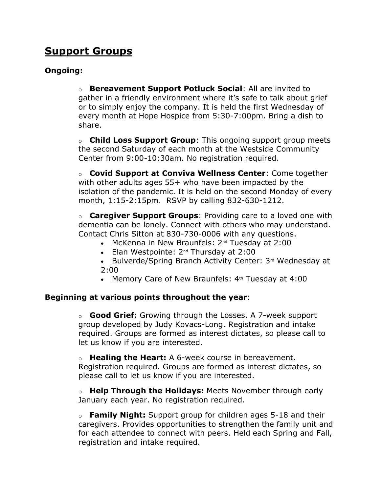# **Support Groups**

# **Ongoing:**

o **Bereavement Support Potluck Social**: All are invited to gather in a friendly environment where it's safe to talk about grief or to simply enjoy the company. It is held the first Wednesday of every month at Hope Hospice from 5:30-7:00pm. Bring a dish to share.

o **Child Loss Support Group**: This ongoing support group meets the second Saturday of each month at the Westside Community Center from 9:00-10:30am. No registration required.

o **Covid Support at Conviva Wellness Center**: Come together with other adults ages 55+ who have been impacted by the isolation of the pandemic. It is held on the second Monday of every month, 1:15-2:15pm. RSVP by calling 832-630-1212.

o **Caregiver Support Groups**: Providing care to a loved one with dementia can be lonely. Connect with others who may understand. Contact Chris Sitton at 830-730-0006 with any questions.

- McKenna in New Braunfels: 2<sup>nd</sup> Tuesday at 2:00
- Elan Westpointe:  $2^{nd}$  Thursday at 2:00
- Bulverde/Spring Branch Activity Center: 3rd Wednesday at 2:00
- Memory Care of New Braunfels:  $4<sup>th</sup>$  Tuesday at  $4:00$

### **Beginning at various points throughout the year**:

o **Good Grief:** Growing through the Losses. A 7-week support group developed by Judy Kovacs-Long. Registration and intake required. Groups are formed as interest dictates, so please call to let us know if you are interested.

o **Healing the Heart:** A 6-week course in bereavement. Registration required. Groups are formed as interest dictates, so please call to let us know if you are interested.

o **Help Through the Holidays:** Meets November through early January each year. No registration required.

o **Family Night:** Support group for children ages 5-18 and their caregivers. Provides opportunities to strengthen the family unit and for each attendee to connect with peers. Held each Spring and Fall, registration and intake required.